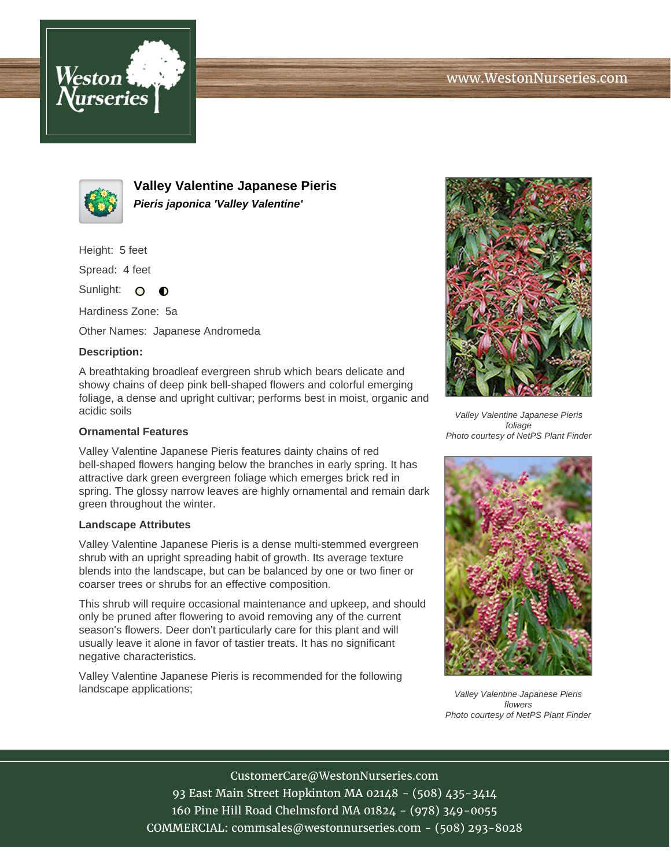



**Valley Valentine Japanese Pieris Pieris japonica 'Valley Valentine'**

Height: 5 feet

Spread: 4 feet

Sunlight: O  $\bullet$ 

Hardiness Zone: 5a

Other Names: Japanese Andromeda

## **Description:**

A breathtaking broadleaf evergreen shrub which bears delicate and showy chains of deep pink bell-shaped flowers and colorful emerging foliage, a dense and upright cultivar; performs best in moist, organic and acidic soils

## **Ornamental Features**

Valley Valentine Japanese Pieris features dainty chains of red bell-shaped flowers hanging below the branches in early spring. It has attractive dark green evergreen foliage which emerges brick red in spring. The glossy narrow leaves are highly ornamental and remain dark green throughout the winter.

## **Landscape Attributes**

Valley Valentine Japanese Pieris is a dense multi-stemmed evergreen shrub with an upright spreading habit of growth. Its average texture blends into the landscape, but can be balanced by one or two finer or coarser trees or shrubs for an effective composition.

This shrub will require occasional maintenance and upkeep, and should only be pruned after flowering to avoid removing any of the current season's flowers. Deer don't particularly care for this plant and will usually leave it alone in favor of tastier treats. It has no significant negative characteristics.

Valley Valentine Japanese Pieris is recommended for the following landscape applications;



Valley Valentine Japanese Pieris foliage Photo courtesy of NetPS Plant Finder



Valley Valentine Japanese Pieris flowers Photo courtesy of NetPS Plant Finder

CustomerCare@WestonNurseries.com 93 East Main Street Hopkinton MA 02148 - (508) 435-3414 160 Pine Hill Road Chelmsford MA 01824 - (978) 349-0055 COMMERCIAL: commsales@westonnurseries.com - (508) 293-8028